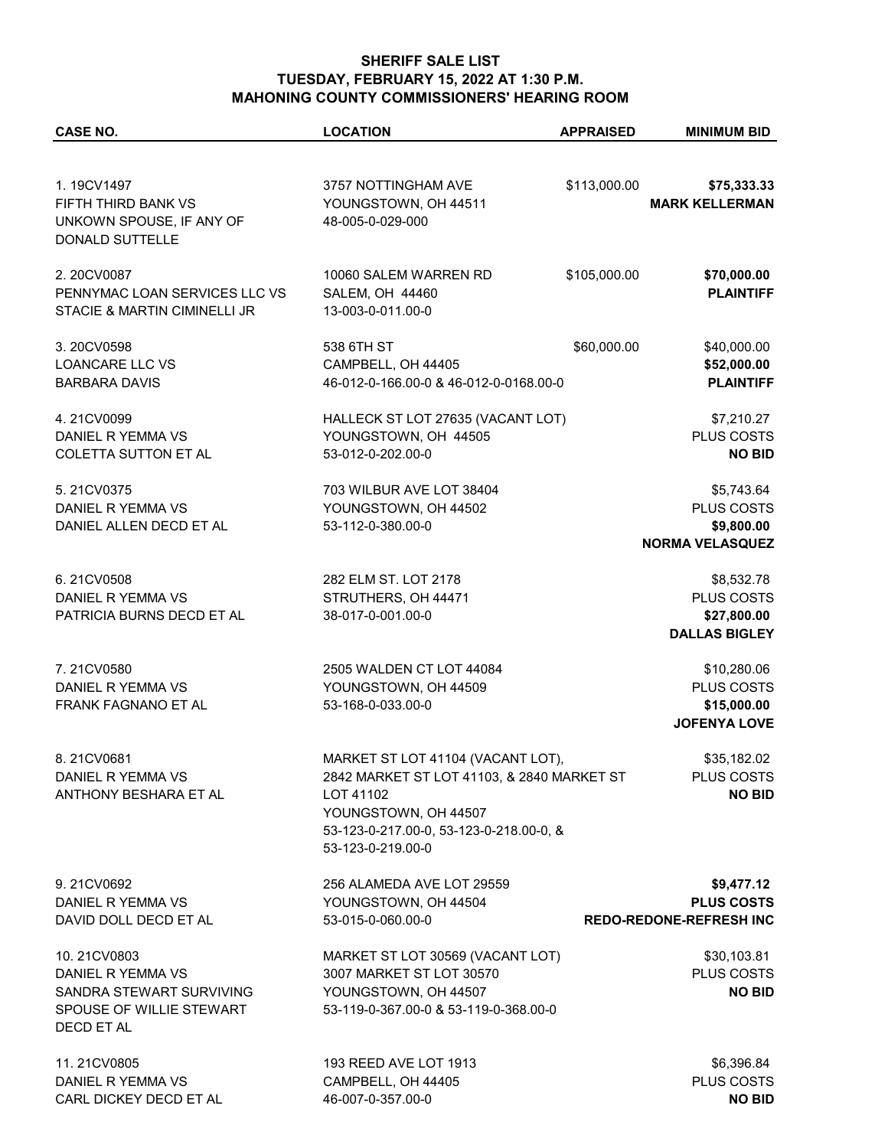## **SHERIFF SALE LIST TUESDAY, FEBRUARY 15, 2022 AT 1:30 P.M. MAHONING COUNTY COMMISSIONERS' HEARING ROOM**

| <b>CASE NO.</b>                                                                  | <b>LOCATION</b>                                                 | <b>APPRAISED</b> | <b>MINIMUM BID</b>                   |
|----------------------------------------------------------------------------------|-----------------------------------------------------------------|------------------|--------------------------------------|
|                                                                                  |                                                                 |                  |                                      |
| 1.19CV1497<br>FIFTH THIRD BANK VS<br>UNKOWN SPOUSE, IF ANY OF<br>DONALD SUTTELLE | 3757 NOTTINGHAM AVE<br>YOUNGSTOWN, OH 44511<br>48-005-0-029-000 | \$113,000.00     | \$75,333.33<br><b>MARK KELLERMAN</b> |
|                                                                                  |                                                                 |                  |                                      |
| 2.20CV0087<br>PENNYMAC LOAN SERVICES LLC VS<br>STACIE & MARTIN CIMINELLI JR      | 10060 SALEM WARREN RD<br>SALEM, OH 44460<br>13-003-0-011.00-0   | \$105,000.00     | \$70,000.00<br><b>PLAINTIFF</b>      |
| 3.20CV0598                                                                       | 538 6TH ST                                                      | \$60,000.00      | \$40,000.00                          |
| LOANCARE LLC VS                                                                  | CAMPBELL, OH 44405                                              |                  | \$52,000.00                          |
| <b>BARBARA DAVIS</b>                                                             | 46-012-0-166.00-0 & 46-012-0-0168.00-0                          |                  | <b>PLAINTIFF</b>                     |
|                                                                                  |                                                                 |                  |                                      |
| 4.21CV0099                                                                       | HALLECK ST LOT 27635 (VACANT LOT)                               |                  | \$7,210.27                           |
| DANIEL R YEMMA VS                                                                | YOUNGSTOWN, OH 44505                                            |                  | PLUS COSTS                           |
| <b>COLETTA SUTTON ET AL</b>                                                      | 53-012-0-202.00-0                                               |                  | <b>NO BID</b>                        |
|                                                                                  |                                                                 |                  |                                      |
| 5.21CV0375<br>DANIEL R YEMMA VS                                                  | 703 WILBUR AVE LOT 38404<br>YOUNGSTOWN, OH 44502                |                  | \$5,743.64<br>PLUS COSTS             |
| DANIEL ALLEN DECD ET AL                                                          | 53-112-0-380.00-0                                               |                  | \$9,800.00                           |
|                                                                                  |                                                                 |                  | <b>NORMA VELASQUEZ</b>               |
|                                                                                  |                                                                 |                  |                                      |
| 6.21CV0508                                                                       | 282 ELM ST. LOT 2178                                            |                  | \$8,532.78                           |
| DANIEL R YEMMA VS                                                                | STRUTHERS, OH 44471                                             |                  | PLUS COSTS                           |
| PATRICIA BURNS DECD ET AL                                                        | 38-017-0-001.00-0                                               |                  | \$27,800.00                          |
|                                                                                  |                                                                 |                  | <b>DALLAS BIGLEY</b>                 |
| 7.21CV0580                                                                       | 2505 WALDEN CT LOT 44084                                        |                  | \$10,280.06                          |
| DANIEL R YEMMA VS                                                                | YOUNGSTOWN, OH 44509                                            |                  | PLUS COSTS                           |
| FRANK FAGNANO ET AL                                                              | 53-168-0-033.00-0                                               |                  | \$15,000.00                          |
|                                                                                  |                                                                 |                  | <b>JOFENYA LOVE</b>                  |
| 8.21CV0681                                                                       | MARKET ST LOT 41104 (VACANT LOT),                               |                  | \$35,182.02                          |
| DANIEL R YEMMA VS                                                                | 2842 MARKET ST LOT 41103, & 2840 MARKET ST                      |                  | PLUS COSTS                           |
| ANTHONY BESHARA ET AL                                                            | LOT 41102                                                       |                  | <b>NO BID</b>                        |
|                                                                                  | YOUNGSTOWN, OH 44507                                            |                  |                                      |
|                                                                                  | 53-123-0-217.00-0, 53-123-0-218.00-0, &                         |                  |                                      |
|                                                                                  | 53-123-0-219.00-0                                               |                  |                                      |
|                                                                                  |                                                                 |                  |                                      |
| 9.21CV0692<br>DANIEL R YEMMA VS                                                  | 256 ALAMEDA AVE LOT 29559<br>YOUNGSTOWN, OH 44504               |                  | \$9,477.12<br><b>PLUS COSTS</b>      |
| DAVID DOLL DECD ET AL                                                            | 53-015-0-060.00-0                                               |                  | <b>REDO-REDONE-REFRESH INC</b>       |
|                                                                                  |                                                                 |                  |                                      |
| 10.21CV0803                                                                      | MARKET ST LOT 30569 (VACANT LOT)                                |                  | \$30,103.81                          |
| DANIEL R YEMMA VS                                                                | 3007 MARKET ST LOT 30570                                        |                  | PLUS COSTS                           |
| SANDRA STEWART SURVIVING                                                         | YOUNGSTOWN, OH 44507                                            |                  | <b>NO BID</b>                        |
| SPOUSE OF WILLIE STEWART                                                         | 53-119-0-367.00-0 & 53-119-0-368.00-0                           |                  |                                      |
| DECD ET AL                                                                       |                                                                 |                  |                                      |
| 11.21CV0805                                                                      | 193 REED AVE LOT 1913                                           |                  | \$6,396.84                           |
| DANIEL R YEMMA VS                                                                | CAMPBELL, OH 44405                                              |                  | PLUS COSTS                           |
| CARL DICKEY DECD ET AL                                                           | 46-007-0-357.00-0                                               |                  | <b>NO BID</b>                        |
|                                                                                  |                                                                 |                  |                                      |